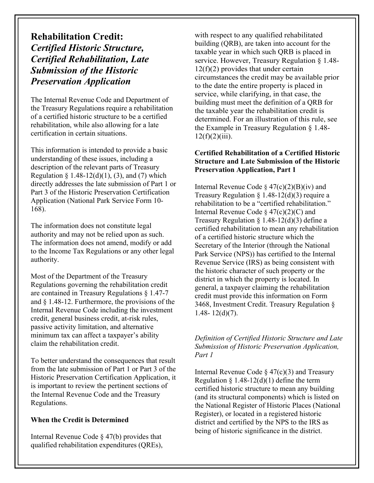# **Rehabilitation Credit:** *Certified Historic Structure, Certified Rehabilitation, Late Submission of the Historic Preservation Application*

The Internal Revenue Code and Department of the Treasury Regulations require a rehabilitation of a certified historic structure to be a certified rehabilitation, while also allowing for a late certification in certain situations.

This information is intended to provide a basic understanding of these issues, including a description of the relevant parts of Treasury Regulation § 1.48-12(d)(1), (3), and (7) which directly addresses the late submission of Part 1 or Part 3 of the Historic Preservation Certification Application (National Park Service Form 10- 168).

The information does not constitute legal authority and may not be relied upon as such. The information does not amend, modify or add to the Income Tax Regulations or any other legal authority.

Most of the Department of the Treasury Regulations governing the rehabilitation credit are contained in Treasury Regulations § 1.47-7 and § 1.48-12. Furthermore, the provisions of the Internal Revenue Code including the investment credit, general business credit, at-risk rules, passive activity limitation, and alternative minimum tax can affect a taxpayer's ability claim the rehabilitation credit.

To better understand the consequences that result from the late submission of Part 1 or Part 3 of the Historic Preservation Certification Application, it is important to review the pertinent sections of the Internal Revenue Code and the Treasury Regulations.

### **When the Credit is Determined**

Internal Revenue Code § 47(b) provides that qualified rehabilitation expenditures (QREs), with respect to any qualified rehabilitated building (QRB), are taken into account for the taxable year in which such QRB is placed in service. However, Treasury Regulation § 1.48-  $12(f)(2)$  provides that under certain circumstances the credit may be available prior to the date the entire property is placed in service, while clarifying, in that case, the building must meet the definition of a QRB for the taxable year the rehabilitation credit is determined. For an illustration of this rule, see the Example in Treasury Regulation § 1.48-  $12(f)(2)(iii)$ .

#### **Certified Rehabilitation of a Certified Historic Structure and Late Submission of the Historic Preservation Application, Part 1**

Internal Revenue Code  $\S 47(c)(2)(B)(iv)$  and Treasury Regulation  $\S$  1.48-12(d)(3) require a rehabilitation to be a "certified rehabilitation." Internal Revenue Code  $\frac{2}{(2)(C)}$  and Treasury Regulation  $\S$  1.48-12(d)(3) define a certified rehabilitation to mean any rehabilitation of a certified historic structure which the Secretary of the Interior (through the National Park Service (NPS)) has certified to the Internal Revenue Service (IRS) as being consistent with the historic character of such property or the district in which the property is located. In general, a taxpayer claiming the rehabilitation credit must provide this information on Form 3468, Investment Credit. Treasury Regulation § 1.48-  $12(d)(7)$ .

#### *Definition of Certified Historic Structure and Late Submission of Historic Preservation Application, Part 1*

Internal Revenue Code  $\S 47(c)(3)$  and Treasury Regulation § 1.48-12(d)(1) define the term certified historic structure to mean any building (and its structural components) which is listed on the National Register of Historic Places (National Register), or located in a registered historic district and certified by the NPS to the IRS as being of historic significance in the district.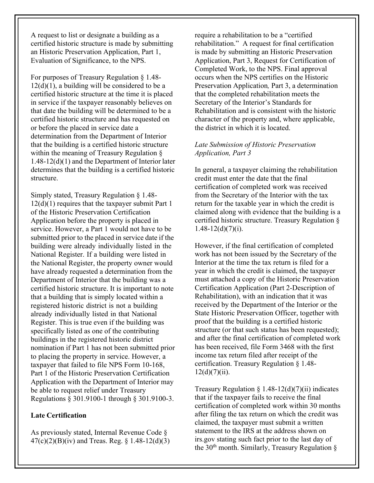A request to list or designate a building as a certified historic structure is made by submitting an Historic Preservation Application, Part 1, Evaluation of Significance, to the NPS.

For purposes of Treasury Regulation § 1.48-  $12(d)(1)$ , a building will be considered to be a certified historic structure at the time it is placed in service if the taxpayer reasonably believes on that date the building will be determined to be a certified historic structure and has requested on or before the placed in service date a determination from the Department of Interior that the building is a certified historic structure within the meaning of Treasury Regulation § 1.48-12(d)(1) and the Department of Interior later determines that the building is a certified historic structure.

Simply stated, Treasury Regulation § 1.48- 12(d)(1) requires that the taxpayer submit Part 1 of the Historic Preservation Certification Application before the property is placed in service. However, a Part 1 would not have to be submitted prior to the placed in service date if the building were already individually listed in the National Register. If a building were listed in the National Register, the property owner would have already requested a determination from the Department of Interior that the building was a certified historic structure. It is important to note that a building that is simply located within a registered historic district is not a building already individually listed in that National Register. This is true even if the building was specifically listed as one of the contributing buildings in the registered historic district nomination if Part 1 has not been submitted prior to placing the property in service. However, a taxpayer that failed to file NPS Form 10-168, Part 1 of the Historic Preservation Certification Application with the Department of Interior may be able to request relief under Treasury Regulations § 301.9100-1 through § 301.9100-3.

**Late Certification**

As previously stated, Internal Revenue Code § 47(c)(2)(B)(iv) and Treas. Reg. § 1.48-12(d)(3) require a rehabilitation to be a "certified rehabilitation." A request for final certification is made by submitting an Historic Preservation Application, Part 3, Request for Certification of Completed Work, to the NPS. Final approval occurs when the NPS certifies on the Historic Preservation Application*,* Part 3, a determination that the completed rehabilitation meets the Secretary of the Interior's Standards for Rehabilitation and is consistent with the historic character of the property and, where applicable, the district in which it is located.

#### *Late Submission of Historic Preservation Application, Part 3*

In general, a taxpayer claiming the rehabilitation credit must enter the date that the final certification of completed work was received from the Secretary of the Interior with the tax return for the taxable year in which the credit is claimed along with evidence that the building is a certified historic structure. Treasury Regulation §  $1.48 - 12(d)(7)(i)$ .

However, if the final certification of completed work has not been issued by the Secretary of the Interior at the time the tax return is filed for a year in which the credit is claimed, the taxpayer must attached a copy of the Historic Preservation Certification Application (Part 2-Description of Rehabilitation), with an indication that it was received by the Department of the Interior or the State Historic Preservation Officer, together with proof that the building is a certified historic structure (or that such status has been requested); and after the final certification of completed work has been received, file Form 3468 with the first income tax return filed after receipt of the certification. Treasury Regulation § 1.48-  $12(d)(7)(ii)$ .

Treasury Regulation  $\S 1.48-12(d)(7)(ii)$  indicates that if the taxpayer fails to receive the final certification of completed work within 30 months after filing the tax return on which the credit was claimed, the taxpayer must submit a written statement to the IRS at the address shown on irs.gov stating such fact prior to the last day of the 30th month. Similarly, Treasury Regulation §